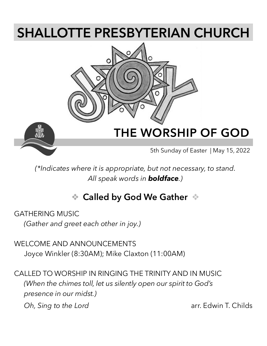# **SHALLOTTE PRESBYTERIAN CHURCH**





# **THE WORSHIP OF GOD**

5th Sunday of Easter | May 15, 2022

*(\*Indicates where it is appropriate, but not necessary, to stand. All speak words in boldface.)*

# ❖ **Called by God We Gather** ❖

GATHERING MUSIC

*(Gather and greet each other in joy.)*

WELCOME AND ANNOUNCEMENTS Joyce Winkler (8:30AM); Mike Claxton (11:00AM)

CALLED TO WORSHIP IN RINGING THE TRINITY AND IN MUSIC *(When the chimes toll, let us silently open our spirit to God's presence in our midst.)*

*Oh, Sing to the Lord* arr. Edwin T. Childs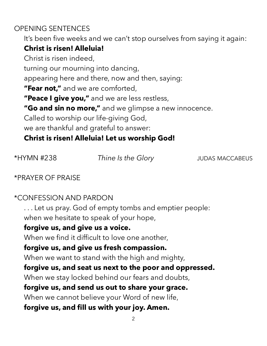### OPENING SENTENCES

It's been five weeks and we can't stop ourselves from saying it again:

### **Christ is risen! Alleluia!**

Christ is risen indeed, turning our mourning into dancing, appearing here and there, now and then, saying: **"Fear not,"** and we are comforted, **"Peace I give you,"** and we are less restless, **"Go and sin no more,"** and we glimpse a new innocence. Called to worship our life-giving God, we are thankful and grateful to answer: **Christ is risen! Alleluia! Let us worship God!**

\*HYMN #238 *Thine Is the Glory* JUDAS MACCABEUS

\*PRAYER OF PRAISE

### \*CONFESSION AND PARDON

. . . Let us pray. God of empty tombs and emptier people: when we hesitate to speak of your hope,

#### **forgive us, and give us a voice.**

When we find it difficult to love one another,

### **forgive us, and give us fresh compassion.**

When we want to stand with the high and mighty,

### **forgive us, and seat us next to the poor and oppressed.**

When we stay locked behind our fears and doubts,

### **forgive us, and send us out to share your grace.**

When we cannot believe your Word of new life,

### **forgive us, and fill us with your joy. Amen.**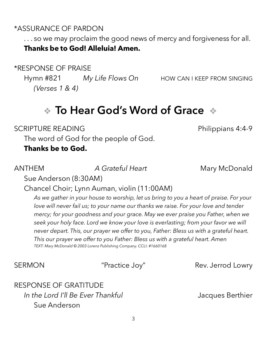### \*ASSURANCE OF PARDON

. . . so we may proclaim the good news of mercy and forgiveness for all. **Thanks be to God! Alleluia! Amen.**

\*RESPONSE OF PRAISE

Hymn #821 *My Life Flows On* HOW CAN I KEEP FROM SINGING *(Verses 1 & 4)*

# ❖ **To Hear God's Word of Grace** ❖

SCRIPTURE READING **Example 20 and SCRIPTURE READING** 

The word of God for the people of God.

**Thanks be to God.**

ANTHEM *A Grateful Heart* Mary McDonald

Sue Anderson (8:30AM)

Chancel Choir; Lynn Auman, violin (11:00AM)

*As we gather in your house to worship, let us bring to you a heart of praise. For your*  love will never fail us; to your name our thanks we raise. For your love and tender *mercy; for your goodness and your grace. May we ever praise you Father, when we seek your holy face. Lord we know your love is everlasting; from your favor we will never depart. This, our prayer we offer to you, Father: Bless us with a grateful heart. This our prayer we offer to you Father: Bless us with a grateful heart. Amen TEXT: Mary McDonald © 2003 Lorenz Publishing Company. CCLI: #1660168*

SERMON "Practice Joy" Rev. Jerrod Lowry

RESPONSE OF GRATITUDE *In the Lord I'll Be Ever Thankful* **In the Lord I'll Be Ever Thankful Jacques Berthier** Sue Anderson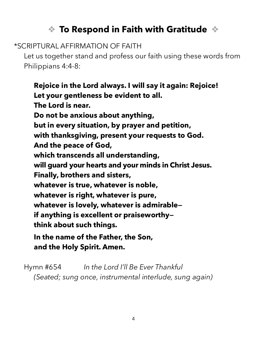# ❖ **To Respond in Faith with Gratitude** ❖

\*SCRIPTURAL AFFIRMATION OF FAITH

Let us together stand and profess our faith using these words from Philippians 4:4-8:

**Rejoice in the Lord always. I will say it again: Rejoice! Let your gentleness be evident to all. The Lord is near. Do not be anxious about anything, but in every situation, by prayer and petition, with thanksgiving, present your requests to God. And the peace of God, which transcends all understanding, will guard your hearts and your minds in Christ Jesus. Finally, brothers and sisters, whatever is true, whatever is noble, whatever is right, whatever is pure, whatever is lovely, whatever is admirable if anything is excellent or praiseworthy think about such things. In the name of the Father, the Son,** 

**and the Holy Spirit. Amen.**

Hymn #654 *In the Lord I'll Be Ever Thankful (Seated; sung once, instrumental interlude, sung again)*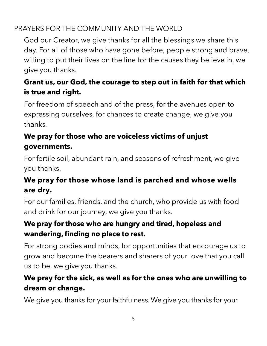### PRAYERS FOR THE COMMUNITY AND THE WORLD

God our Creator, we give thanks for all the blessings we share this day. For all of those who have gone before, people strong and brave, willing to put their lives on the line for the causes they believe in, we give you thanks.

## **Grant us, our God, the courage to step out in faith for that which is true and right.**

For freedom of speech and of the press, for the avenues open to expressing ourselves, for chances to create change, we give you thanks.

## **We pray for those who are voiceless victims of unjust governments.**

For fertile soil, abundant rain, and seasons of refreshment, we give you thanks.

# **We pray for those whose land is parched and whose wells are dry.**

For our families, friends, and the church, who provide us with food and drink for our journey, we give you thanks.

## **We pray for those who are hungry and tired, hopeless and wandering, finding no place to rest.**

For strong bodies and minds, for opportunities that encourage us to grow and become the bearers and sharers of your love that you call us to be, we give you thanks.

## **We pray for the sick, as well as for the ones who are unwilling to dream or change.**

We give you thanks for your faithfulness. We give you thanks for your